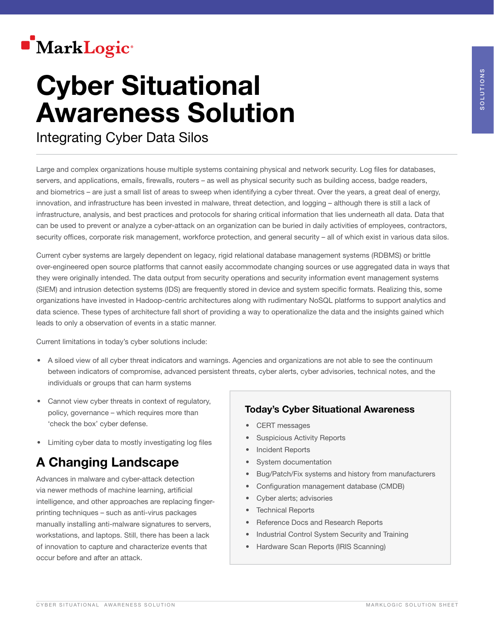

# Cyber Situational Awareness Solution

Integrating Cyber Data Silos

Large and complex organizations house multiple systems containing physical and network security. Log files for databases, servers, and applications, emails, firewalls, routers – as well as physical security such as building access, badge readers, and biometrics – are just a small list of areas to sweep when identifying a cyber threat. Over the years, a great deal of energy, innovation, and infrastructure has been invested in malware, threat detection, and logging – although there is still a lack of infrastructure, analysis, and best practices and protocols for sharing critical information that lies underneath all data. Data that can be used to prevent or analyze a cyber-attack on an organization can be buried in daily activities of employees, contractors, security offices, corporate risk management, workforce protection, and general security – all of which exist in various data silos.

Current cyber systems are largely dependent on legacy, rigid relational database management systems (RDBMS) or brittle over-engineered open source platforms that cannot easily accommodate changing sources or use aggregated data in ways that they were originally intended. The data output from security operations and security information event management systems (SIEM) and intrusion detection systems (IDS) are frequently stored in device and system specific formats. Realizing this, some organizations have invested in Hadoop-centric architectures along with rudimentary NoSQL platforms to support analytics and data science. These types of architecture fall short of providing a way to operationalize the data and the insights gained which leads to only a observation of events in a static manner.

Current limitations in today's cyber solutions include:

- A siloed view of all cyber threat indicators and warnings. Agencies and organizations are not able to see the continuum between indicators of compromise, advanced persistent threats, cyber alerts, cyber advisories, technical notes, and the individuals or groups that can harm systems
- Cannot view cyber threats in context of regulatory, policy, governance – which requires more than 'check the box' cyber defense.
- Limiting cyber data to mostly investigating log files

## A Changing Landscape

Advances in malware and cyber-attack detection via newer methods of machine learning, artificial intelligence, and other approaches are replacing fingerprinting techniques – such as anti-virus packages manually installing anti-malware signatures to servers, workstations, and laptops. Still, there has been a lack of innovation to capture and characterize events that occur before and after an attack.

#### Today's Cyber Situational Awareness

- CERT messages
- Suspicious Activity Reports
- Incident Reports
- System documentation
- Bug/Patch/Fix systems and history from manufacturers
- Configuration management database (CMDB)
- Cyber alerts; advisories
- **Technical Reports**
- Reference Docs and Research Reports
- Industrial Control System Security and Training
- Hardware Scan Reports (IRIS Scanning)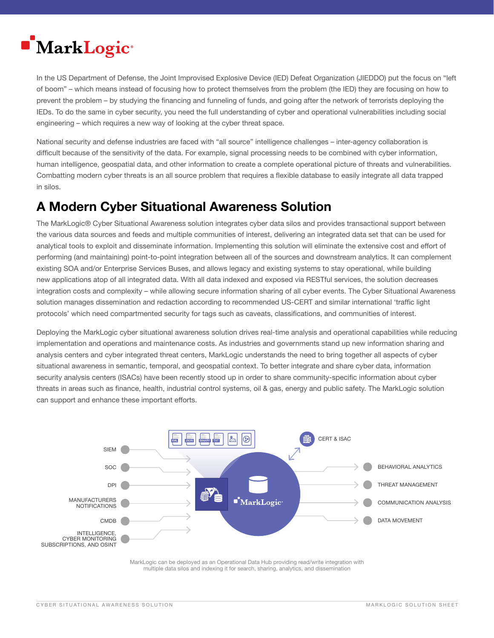

In the US Department of Defense, the Joint Improvised Explosive Device (IED) Defeat Organization (JIEDDO) put the focus on "left of boom" – which means instead of focusing how to protect themselves from the problem (the IED) they are focusing on how to prevent the problem – by studying the financing and funneling of funds, and going after the network of terrorists deploying the IEDs. To do the same in cyber security, you need the full understanding of cyber and operational vulnerabilities including social engineering – which requires a new way of looking at the cyber threat space.

National security and defense industries are faced with "all source" intelligence challenges – inter-agency collaboration is difficult because of the sensitivity of the data. For example, signal processing needs to be combined with cyber information, human intelligence, geospatial data, and other information to create a complete operational picture of threats and vulnerabilities. Combatting modern cyber threats is an all source problem that requires a flexible database to easily integrate all data trapped in silos.

## A Modern Cyber Situational Awareness Solution

The MarkLogic® Cyber Situational Awareness solution integrates cyber data silos and provides transactional support between the various data sources and feeds and multiple communities of interest, delivering an integrated data set that can be used for analytical tools to exploit and disseminate information. Implementing this solution will eliminate the extensive cost and effort of performing (and maintaining) point-to-point integration between all of the sources and downstream analytics. It can complement existing SOA and/or Enterprise Services Buses, and allows legacy and existing systems to stay operational, while building new applications atop of all integrated data. With all data indexed and exposed via RESTful services, the solution decreases integration costs and complexity – while allowing secure information sharing of all cyber events. The Cyber Situational Awareness solution manages dissemination and redaction according to recommended US-CERT and similar international 'traffic light protocols' which need compartmented security for tags such as caveats, classifications, and communities of interest.

Deploying the MarkLogic cyber situational awareness solution drives real-time analysis and operational capabilities while reducing implementation and operations and maintenance costs. As industries and governments stand up new information sharing and analysis centers and cyber integrated threat centers, MarkLogic understands the need to bring together all aspects of cyber situational awareness in semantic, temporal, and geospatial context. To better integrate and share cyber data, information security analysis centers (ISACs) have been recently stood up in order to share community-specific information about cyber threats in areas such as finance, health, industrial control systems, oil & gas, energy and public safety. The MarkLogic solution can support and enhance these important efforts.



MarkLogic can be deployed as an Operational Data Hub providing read/write integration with multiple data silos and indexing it for search, sharing, analytics, and dissemination